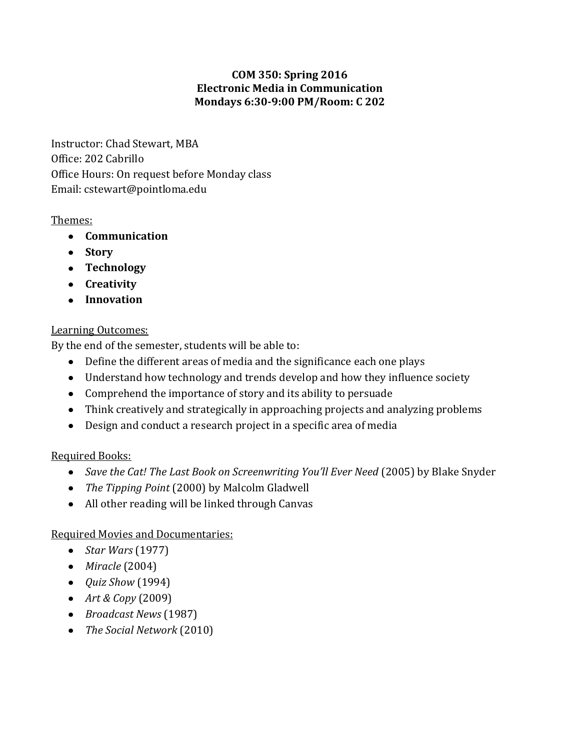## **COM 350: Spring 2016 Electronic Media in Communication Mondays 6:30-9:00 PM/Room: C 202**

Instructor: Chad Stewart, MBA Office: 202 Cabrillo Office Hours: On request before Monday class Email: cstewart[@pointloma.edu](http://pointloma.edu/)

## Themes:

- **Communication**
- **Story**
- **Technology**
- **Creativity**
- **Innovation**

# Learning Outcomes:

By the end of the semester, students will be able to:

- Define the different areas of media and the significance each one plays
- Understand how technology and trends develop and how they influence society
- Comprehend the importance of story and its ability to persuade
- Think creatively and strategically in approaching projects and analyzing problems
- Design and conduct a research project in a specific area of media

# Required Books:

- *Save the Cat! The Last Book on Screenwriting You'll Ever Need* (2005) by Blake Snyder
- *The Tipping Point* (2000) by Malcolm Gladwell
- All other reading will be linked through Canvas

# Required Movies and Documentaries:

- *Star Wars* (1977)
- *Miracle* (2004)
- *Quiz Show* (1994)
- *Art & Copy* (2009)
- *Broadcast News* (1987)
- *The Social Network* (2010)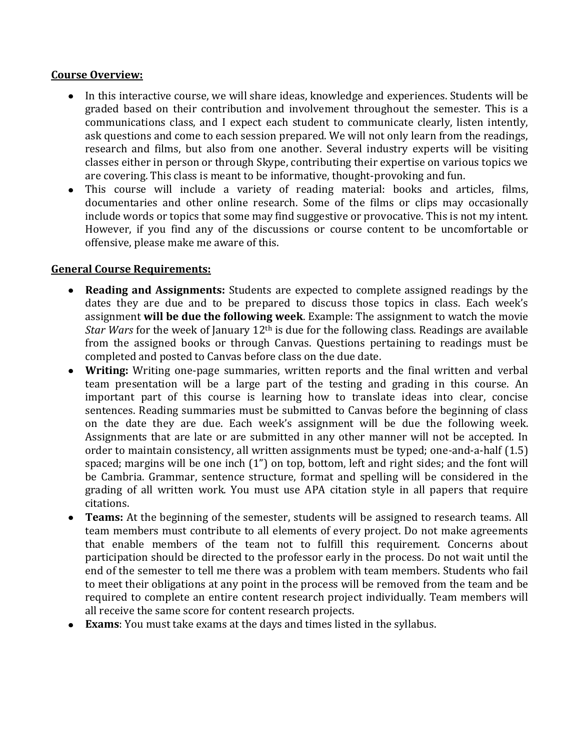### **Course Overview:**

- In this interactive course, we will share ideas, knowledge and experiences. Students will be graded based on their contribution and involvement throughout the semester. This is a communications class, and I expect each student to communicate clearly, listen intently, ask questions and come to each session prepared. We will not only learn from the readings, research and films, but also from one another. Several industry experts will be visiting classes either in person or through Skype, contributing their expertise on various topics we are covering. This class is meant to be informative, thought-provoking and fun.
- This course will include a variety of reading material: books and articles, films, documentaries and other online research. Some of the films or clips may occasionally include words or topics that some may find suggestive or provocative. This is not my intent. However, if you find any of the discussions or course content to be uncomfortable or offensive, please make me aware of this.

### **General Course Requirements:**

- **Reading and Assignments:** Students are expected to complete assigned readings by the dates they are due and to be prepared to discuss those topics in class. Each week's assignment **will be due the following week**. Example: The assignment to watch the movie *Star Wars* for the week of January 12th is due for the following class. Readings are available from the assigned books or through Canvas. Questions pertaining to readings must be completed and posted to Canvas before class on the due date.
- **Writing:** Writing one-page summaries, written reports and the final written and verbal team presentation will be a large part of the testing and grading in this course. An important part of this course is learning how to translate ideas into clear, concise sentences. Reading summaries must be submitted to Canvas before the beginning of class on the date they are due. Each week's assignment will be due the following week. Assignments that are late or are submitted in any other manner will not be accepted. In order to maintain consistency, all written assignments must be typed; one-and-a-half (1.5) spaced; margins will be one inch (1") on top, bottom, left and right sides; and the font will be Cambria. Grammar, sentence structure, format and spelling will be considered in the grading of all written work. You must use APA citation style in all papers that require citations.
- **Teams:** At the beginning of the semester, students will be assigned to research teams. All team members must contribute to all elements of every project. Do not make agreements that enable members of the team not to fulfill this requirement. Concerns about participation should be directed to the professor early in the process. Do not wait until the end of the semester to tell me there was a problem with team members. Students who fail to meet their obligations at any point in the process will be removed from the team and be required to complete an entire content research project individually. Team members will all receive the same score for content research projects.
- **Exams**: You must take exams at the days and times listed in the syllabus.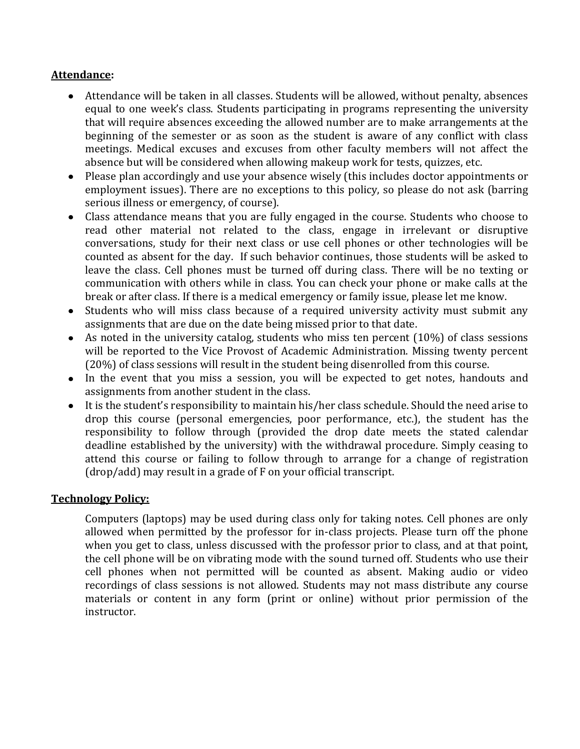## **Attendance:**

- Attendance will be taken in all classes. Students will be allowed, without penalty, absences equal to one week's class. Students participating in programs representing the university that will require absences exceeding the allowed number are to make arrangements at the beginning of the semester or as soon as the student is aware of any conflict with class meetings. Medical excuses and excuses from other faculty members will not affect the absence but will be considered when allowing makeup work for tests, quizzes, etc.
- Please plan accordingly and use your absence wisely (this includes doctor appointments or employment issues). There are no exceptions to this policy, so please do not ask (barring serious illness or emergency, of course).
- Class attendance means that you are fully engaged in the course. Students who choose to read other material not related to the class, engage in irrelevant or disruptive conversations, study for their next class or use cell phones or other technologies will be counted as absent for the day. If such behavior continues, those students will be asked to leave the class. Cell phones must be turned off during class. There will be no texting or communication with others while in class. You can check your phone or make calls at the break or after class. If there is a medical emergency or family issue, please let me know.
- Students who will miss class because of a required university activity must submit any assignments that are due on the date being missed prior to that date.
- As noted in the university catalog, students who miss ten percent (10%) of class sessions will be reported to the Vice Provost of Academic Administration. Missing twenty percent (20%) of class sessions will result in the student being disenrolled from this course.
- In the event that you miss a session, you will be expected to get notes, handouts and assignments from another student in the class.
- It is the student's responsibility to maintain his/her class schedule. Should the need arise to drop this course (personal emergencies, poor performance, etc.), the student has the responsibility to follow through (provided the drop date meets the stated calendar deadline established by the university) with the withdrawal procedure. Simply ceasing to attend this course or failing to follow through to arrange for a change of registration (drop/add) may result in a grade of F on your official transcript.

### **Technology Policy:**

Computers (laptops) may be used during class only for taking notes. Cell phones are only allowed when permitted by the professor for in-class projects. Please turn off the phone when you get to class, unless discussed with the professor prior to class, and at that point, the cell phone will be on vibrating mode with the sound turned off. Students who use their cell phones when not permitted will be counted as absent. Making audio or video recordings of class sessions is not allowed. Students may not mass distribute any course materials or content in any form (print or online) without prior permission of the instructor.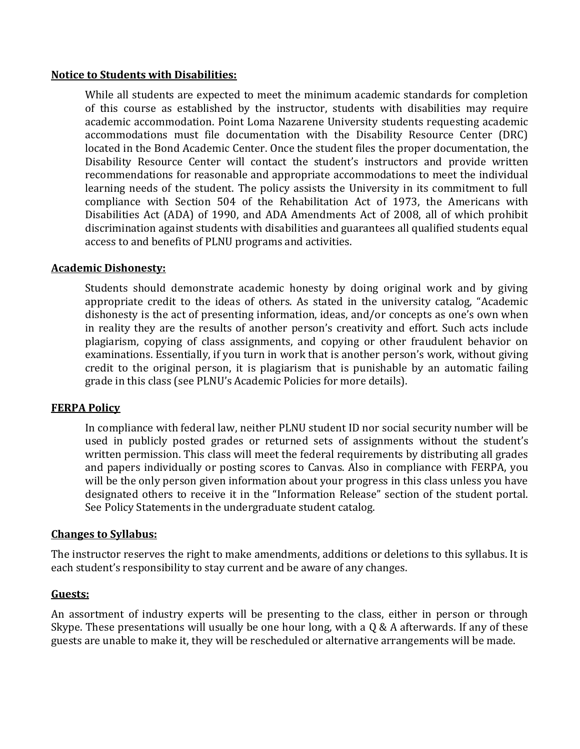#### **Notice to Students with Disabilities:**

While all students are expected to meet the minimum academic standards for completion of this course as established by the instructor, students with disabilities may require academic accommodation. Point Loma Nazarene University students requesting academic accommodations must file documentation with the Disability Resource Center (DRC) located in the Bond Academic Center. Once the student files the proper documentation, the Disability Resource Center will contact the student's instructors and provide written recommendations for reasonable and appropriate accommodations to meet the individual learning needs of the student. The policy assists the University in its commitment to full compliance with Section 504 of the Rehabilitation Act of 1973, the Americans with Disabilities Act (ADA) of 1990, and ADA Amendments Act of 2008, all of which prohibit discrimination against students with disabilities and guarantees all qualified students equal access to and benefits of PLNU programs and activities.

### **Academic Dishonesty:**

Students should demonstrate academic honesty by doing original work and by giving appropriate credit to the ideas of others. As stated in the university catalog, "Academic dishonesty is the act of presenting information, ideas, and/or concepts as one's own when in reality they are the results of another person's creativity and effort. Such acts include plagiarism, copying of class assignments, and copying or other fraudulent behavior on examinations. Essentially, if you turn in work that is another person's work, without giving credit to the original person, it is plagiarism that is punishable by an automatic failing grade in this class (see PLNU's Academic Policies for more details).

#### **FERPA Policy**

In compliance with federal law, neither PLNU student ID nor social security number will be used in publicly posted grades or returned sets of assignments without the student's written permission. This class will meet the federal requirements by distributing all grades and papers individually or posting scores to Canvas. Also in compliance with FERPA, you will be the only person given information about your progress in this class unless you have designated others to receive it in the "Information Release" section of the student portal. See Policy Statements in the undergraduate student catalog.

#### **Changes to Syllabus:**

The instructor reserves the right to make amendments, additions or deletions to this syllabus. It is each student's responsibility to stay current and be aware of any changes.

#### **Guests:**

An assortment of industry experts will be presenting to the class, either in person or through Skype. These presentations will usually be one hour long, with a  $\Omega \& A$  afterwards. If any of these guests are unable to make it, they will be rescheduled or alternative arrangements will be made.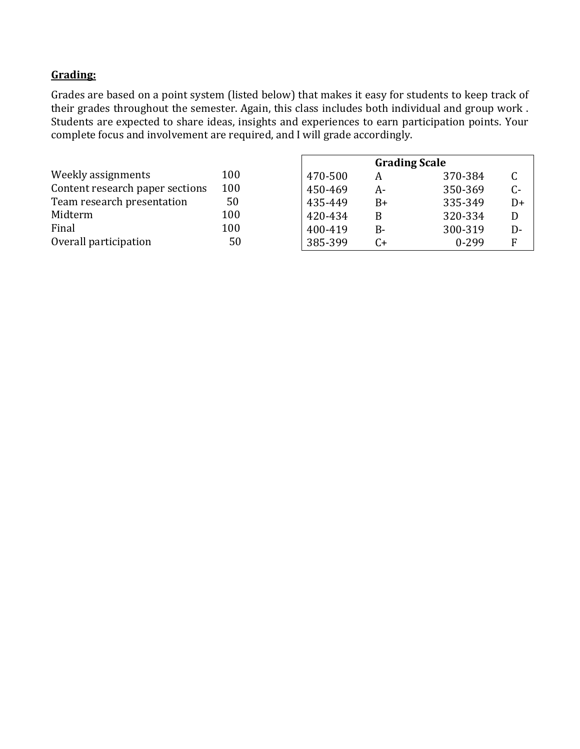## **Grading:**

Grades are based on a point system (listed below) that makes it easy for students to keep track of their grades throughout the semester. Again, this class includes both individual and group work . Students are expected to share ideas, insights and experiences to earn participation points. Your complete focus and involvement are required, and I will grade accordingly.

|                                 |     | <b>Grading Scale</b> |       |           |       |
|---------------------------------|-----|----------------------|-------|-----------|-------|
| Weekly assignments              | 100 | 470-500              | А     | 370-384   | C     |
| Content research paper sections | 100 | 450-469              | A-    | 350-369   | $C-$  |
| Team research presentation      | 50  | 435-449              | $B+$  | 335-349   | $D+$  |
| Midterm                         | 100 | 420-434              | B     | 320-334   | D     |
| Final                           | 100 | 400-419              | $B -$ | 300-319   | $D -$ |
| Overall participation           | 50  | 385-399              | C+    | $0 - 299$ | F     |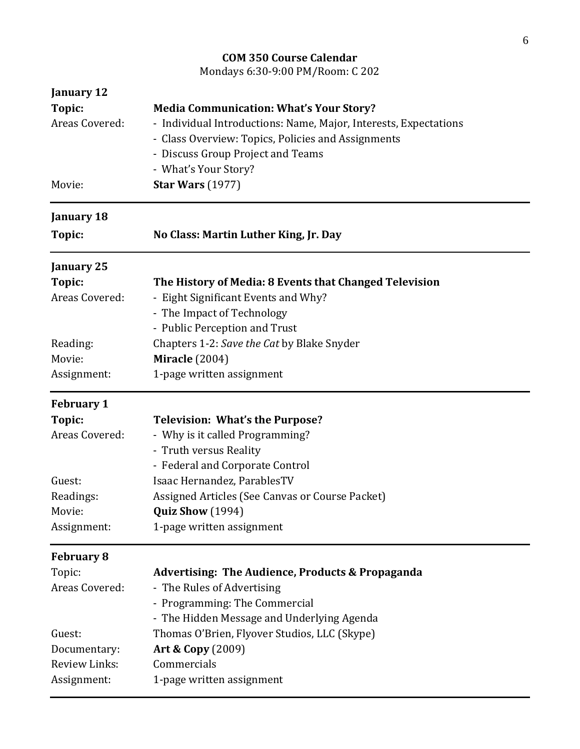# **COM 350 Course Calendar**

Mondays 6:30-9:00 PM/Room: C 202

| January 12                   |                                                                  |
|------------------------------|------------------------------------------------------------------|
| Topic:                       | <b>Media Communication: What's Your Story?</b>                   |
| Areas Covered:               | - Individual Introductions: Name, Major, Interests, Expectations |
|                              | - Class Overview: Topics, Policies and Assignments               |
|                              | - Discuss Group Project and Teams                                |
|                              | - What's Your Story?                                             |
| Movie:                       | <b>Star Wars</b> (1977)                                          |
| <b>January 18</b>            |                                                                  |
| Topic:                       | No Class: Martin Luther King, Jr. Day                            |
| <b>January 25</b>            |                                                                  |
| Topic:                       | The History of Media: 8 Events that Changed Television           |
| Areas Covered:               | - Eight Significant Events and Why?                              |
|                              | - The Impact of Technology                                       |
|                              | - Public Perception and Trust                                    |
| Reading:                     | Chapters 1-2: Save the Cat by Blake Snyder                       |
| Movie:                       | Miracle (2004)                                                   |
| Assignment:                  | 1-page written assignment                                        |
|                              |                                                                  |
| <b>February 1</b>            |                                                                  |
| Topic:                       | <b>Television: What's the Purpose?</b>                           |
| Areas Covered:               | - Why is it called Programming?                                  |
|                              | - Truth versus Reality                                           |
|                              | - Federal and Corporate Control                                  |
| Guest:                       | Isaac Hernandez, ParablesTV                                      |
| Readings:                    | Assigned Articles (See Canvas or Course Packet)                  |
| Movie:                       | <b>Quiz Show</b> (1994)                                          |
| Assignment:                  | 1-page written assignment                                        |
| <b>February 8</b>            |                                                                  |
| Topic:                       | <b>Advertising: The Audience, Products &amp; Propaganda</b>      |
| Areas Covered:               | - The Rules of Advertising                                       |
|                              | - Programming: The Commercial                                    |
|                              | - The Hidden Message and Underlying Agenda                       |
| Guest:                       | Thomas O'Brien, Flyover Studios, LLC (Skype)                     |
| Documentary:                 | <b>Art &amp; Copy (2009)</b>                                     |
| Review Links:<br>Assignment: | Commercials<br>1-page written assignment                         |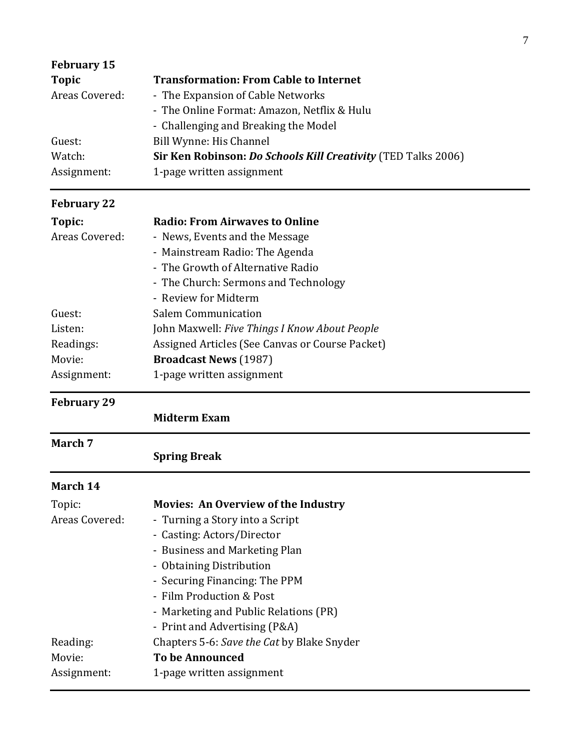| <b>February 15</b> |                                                                      |
|--------------------|----------------------------------------------------------------------|
| <b>Topic</b>       | <b>Transformation: From Cable to Internet</b>                        |
| Areas Covered:     | - The Expansion of Cable Networks                                    |
|                    | - The Online Format: Amazon, Netflix & Hulu                          |
|                    | - Challenging and Breaking the Model                                 |
| Guest:             | Bill Wynne: His Channel                                              |
| Watch:             | <b>Sir Ken Robinson: Do Schools Kill Creativity (TED Talks 2006)</b> |
| Assignment:        | 1-page written assignment                                            |
| <b>February 22</b> |                                                                      |
| Topic:             | <b>Radio: From Airwaves to Online</b>                                |
| Arone Coyarod.     | Nowe Fronte and the Message                                          |

| Areas Covered: | - News, Events and the Message                  |
|----------------|-------------------------------------------------|
|                | - Mainstream Radio: The Agenda                  |
|                | - The Growth of Alternative Radio               |
|                | - The Church: Sermons and Technology            |
|                | - Review for Midterm                            |
| Guest:         | Salem Communication                             |
| Listen:        | John Maxwell: Five Things I Know About People   |
| Readings:      | Assigned Articles (See Canvas or Course Packet) |
| Movie:         | <b>Broadcast News (1987)</b>                    |
| Assignment:    | 1-page written assignment                       |
|                |                                                 |

**February 29**

**Midterm Exam**

**March 7**

**Spring Break**

# **March 14**

| Topic:         | <b>Movies: An Overview of the Industry</b> |
|----------------|--------------------------------------------|
| Areas Covered: | - Turning a Story into a Script            |
|                | - Casting: Actors/Director                 |
|                | - Business and Marketing Plan              |
|                | - Obtaining Distribution                   |
|                | - Securing Financing: The PPM              |
|                | - Film Production & Post                   |
|                | - Marketing and Public Relations (PR)      |
|                | - Print and Advertising (P&A)              |
| Reading:       | Chapters 5-6: Save the Cat by Blake Snyder |
| Movie:         | <b>To be Announced</b>                     |
| Assignment:    | 1-page written assignment                  |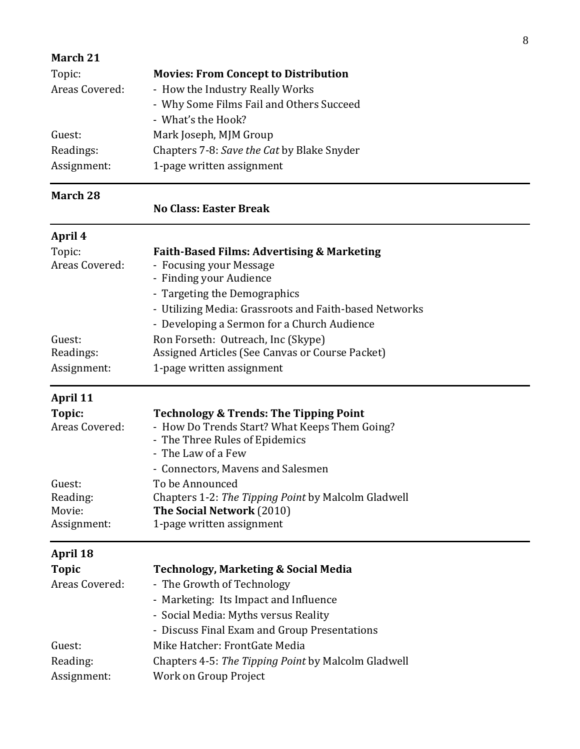| March 21           |                                                                                        |
|--------------------|----------------------------------------------------------------------------------------|
| Topic:             | <b>Movies: From Concept to Distribution</b>                                            |
| Areas Covered:     | - How the Industry Really Works                                                        |
|                    | - Why Some Films Fail and Others Succeed                                               |
|                    | - What's the Hook?                                                                     |
| Guest:             | Mark Joseph, MJM Group                                                                 |
| Readings:          | Chapters 7-8: Save the Cat by Blake Snyder                                             |
| Assignment:        | 1-page written assignment                                                              |
| March 28           |                                                                                        |
|                    | <b>No Class: Easter Break</b>                                                          |
| April 4            |                                                                                        |
| Topic:             | <b>Faith-Based Films: Advertising &amp; Marketing</b>                                  |
| Areas Covered:     | - Focusing your Message<br>- Finding your Audience                                     |
|                    |                                                                                        |
|                    | - Targeting the Demographics<br>- Utilizing Media: Grassroots and Faith-based Networks |
|                    | - Developing a Sermon for a Church Audience                                            |
| Guest:             | Ron Forseth: Outreach, Inc (Skype)                                                     |
| Readings:          | Assigned Articles (See Canvas or Course Packet)                                        |
| Assignment:        | 1-page written assignment                                                              |
| April 11           |                                                                                        |
| Topic:             | <b>Technology &amp; Trends: The Tipping Point</b>                                      |
| Areas Covered:     | - How Do Trends Start? What Keeps Them Going?                                          |
|                    | - The Three Rules of Epidemics                                                         |
|                    | - The Law of a Few                                                                     |
|                    | - Connectors, Mavens and Salesmen                                                      |
| Guest:             | To be Announced                                                                        |
| Reading:<br>Movie: | Chapters 1-2: The Tipping Point by Malcolm Gladwell<br>The Social Network (2010)       |
| Assignment:        | 1-page written assignment                                                              |
| April 18           |                                                                                        |
| <b>Topic</b>       | <b>Technology, Marketing &amp; Social Media</b>                                        |
| Areas Covered:     | - The Growth of Technology                                                             |
|                    | - Marketing: Its Impact and Influence                                                  |
|                    | - Social Media: Myths versus Reality                                                   |
|                    | - Discuss Final Exam and Group Presentations                                           |
| Guest:             | Mike Hatcher: FrontGate Media                                                          |
| Reading:           | Chapters 4-5: The Tipping Point by Malcolm Gladwell                                    |
| Assignment:        | Work on Group Project                                                                  |
|                    |                                                                                        |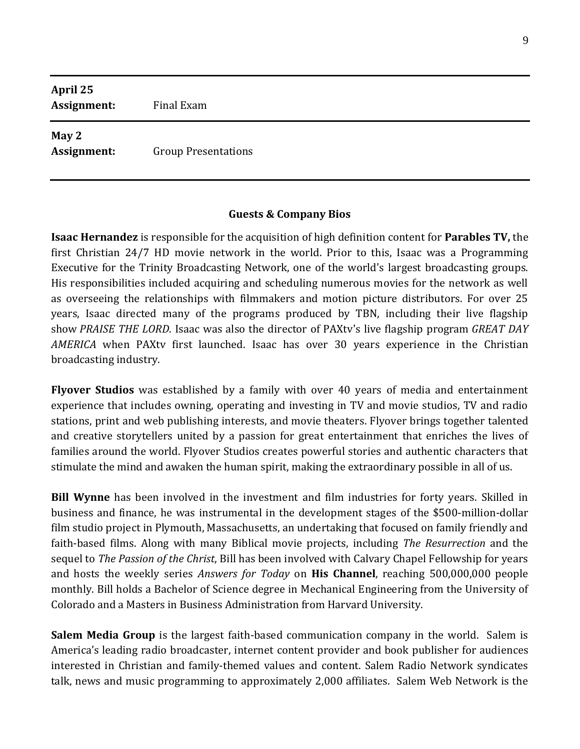| April 25<br>Assignment: | Final Exam                 |
|-------------------------|----------------------------|
| May 2<br>Assignment:    | <b>Group Presentations</b> |

### **Guests & Company Bios**

**Isaac Hernandez** is responsible for the acquisition of high definition content for **Parables TV,** the first Christian 24/7 HD movie network in the world. Prior to this, Isaac was a Programming Executive for the Trinity Broadcasting Network, one of the world's largest broadcasting groups. His responsibilities included acquiring and scheduling numerous movies for the network as well as overseeing the relationships with filmmakers and motion picture distributors. For over 25 years, Isaac directed many of the programs produced by TBN, including their live flagship show *PRAISE THE LORD*. Isaac was also the director of PAXtv's live flagship program *GREAT DAY AMERICA* when PAXtv first launched. Isaac has over 30 years experience in the Christian broadcasting industry.

**Flyover Studios** was established by a family with over 40 years of media and entertainment experience that includes owning, operating and investing in TV and movie studios, TV and radio stations, print and web publishing interests, and movie theaters. Flyover brings together talented and creative storytellers united by a passion for great entertainment that enriches the lives of families around the world. Flyover Studios creates powerful stories and authentic characters that stimulate the mind and awaken the human spirit, making the extraordinary possible in all of us.

**Bill Wynne** has been involved in the investment and film industries for forty years. Skilled in business and finance, he was instrumental in the development stages of the \$500-million-dollar film studio project in Plymouth, Massachusetts, an undertaking that focused on family friendly and faith-based films. Along with many Biblical movie projects, including *The Resurrection* and the sequel to *The Passion of the Christ*, Bill has been involved with Calvary Chapel Fellowship for years and hosts the weekly series *Answers for Today* on **His Channel**, reaching 500,000,000 people monthly. Bill holds a Bachelor of Science degree in Mechanical Engineering from the University of Colorado and a Masters in Business Administration from Harvard University.

**Salem Media Group** is the largest faith-based communication company in the world. Salem is America's leading radio broadcaster, internet content provider and book publisher for audiences interested in Christian and family-themed values and content. Salem Radio Network syndicates talk, news and music programming to approximately 2,000 affiliates. Salem Web Network is the